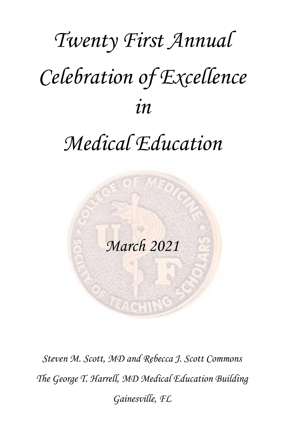# *Twenty First Annual Celebration of Excellence in*

# *Medical Education*

*March 2021*

*Steven M. Scott, MD and Rebecca J. Scott Commons The George T. Harrell, MD Medical Education Building Gainesville, FL*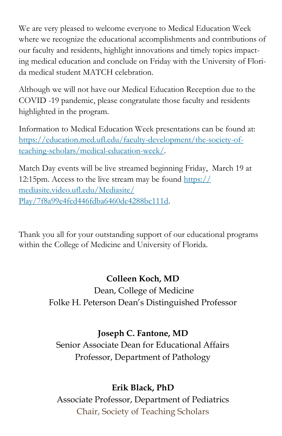We are very pleased to welcome everyone to Medical Education Week where we recognize the educational accomplishments and contributions of our faculty and residents, highlight innovations and timely topics impacting medical education and conclude on Friday with the University of Florida medical student MATCH celebration.

Although we will not have our Medical Education Reception due to the COVID -19 pandemic, please congratulate those faculty and residents highlighted in the program.

Information to Medical Education Week presentations can be found at: [https://education.med.ufl.edu/faculty-development/the-society-of](https://education.med.ufl.edu/faculty-development/the-society-of-teaching-scholars/medical-education-week/)[teaching-scholars/medical-education-week/.](https://education.med.ufl.edu/faculty-development/the-society-of-teaching-scholars/medical-education-week/)

Match Day events will be live streamed beginning Friday, March 19 at 12:15pm. Access to the live stream may be found [https://](https://mediasite.video.ufl.edu/Mediasite/Play/7f8a99e4fcd446fdba6460de4288bc111d) [mediasite.video.ufl.edu/Mediasite/](https://mediasite.video.ufl.edu/Mediasite/Play/7f8a99e4fcd446fdba6460de4288bc111d) [Play/7f8a99e4fcd446fdba6460de4288bc111d.](https://mediasite.video.ufl.edu/Mediasite/Play/7f8a99e4fcd446fdba6460de4288bc111d)

Thank you all for your outstanding support of our educational programs within the College of Medicine and University of Florida.

# **Colleen Koch, MD**

Dean, College of Medicine Folke H. Peterson Dean's Distinguished Professor

# **Joseph C. Fantone, MD**

Senior Associate Dean for Educational Affairs Professor, Department of Pathology

# **Erik Black, PhD**

Associate Professor, Department of Pediatrics Chair, Society of Teaching Scholars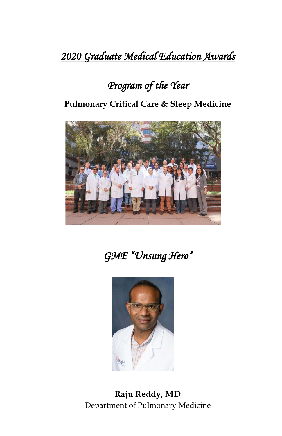# *2020 Graduate Medical Education Awards*

# *Program of the Year*

**Pulmonary Critical Care & Sleep Medicine**



*GME "Unsung Hero"* 



**Raju Reddy, MD** Department of Pulmonary Medicine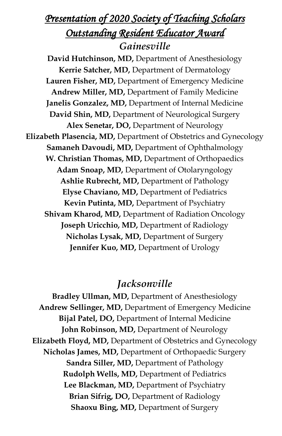# *Presentation of 2020 Society of Teaching Scholars Outstanding Resident Educator Award Gainesville*

**David Hutchinson, MD,** Department of Anesthesiology **Kerrie Satcher, MD,** Department of Dermatology **Lauren Fisher, MD,** Department of Emergency Medicine **Andrew Miller, MD,** Department of Family Medicine **Janelis Gonzalez, MD,** Department of Internal Medicine **David Shin, MD,** Department of Neurological Surgery **Alex Senetar, DO,** Department of Neurology **Elizabeth Plasencia, MD,** Department of Obstetrics and Gynecology **Samaneh Davoudi, MD,** Department of Ophthalmology **W. Christian Thomas, MD,** Department of Orthopaedics **Adam Snoap, MD,** Department of Otolaryngology **Ashlie Rubrecht, MD,** Department of Pathology **Elyse Chaviano, MD,** Department of Pediatrics **Kevin Putinta, MD,** Department of Psychiatry **Shivam Kharod, MD,** Department of Radiation Oncology **Joseph Uricchio, MD,** Department of Radiology **Nicholas Lysak, MD,** Department of Surgery **Jennifer Kuo, MD, Department of Urology** 

## *Jacksonville*

**Bradley Ullman, MD,** Department of Anesthesiology **Andrew Sellinger, MD,** Department of Emergency Medicine **Bijal Patel, DO,** Department of Internal Medicine John Robinson, MD, Department of Neurology **Elizabeth Floyd, MD,** Department of Obstetrics and Gynecology **Nicholas James, MD,** Department of Orthopaedic Surgery **Sandra Siller, MD,** Department of Pathology **Rudolph Wells, MD,** Department of Pediatrics **Lee Blackman, MD,** Department of Psychiatry **Brian Sifrig, DO,** Department of Radiology **Shaoxu Bing, MD,** Department of Surgery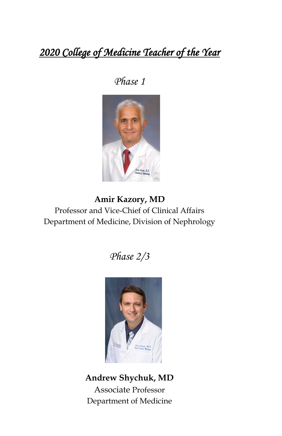# *2020 College of Medicine Teacher of the Year*

## *Phase 1*



**Amir Kazory, MD** Professor and Vice-Chief of Clinical Affairs Department of Medicine, Division of Nephrology

*Phase 2/3* 



**Andrew Shychuk, MD** Associate Professor Department of Medicine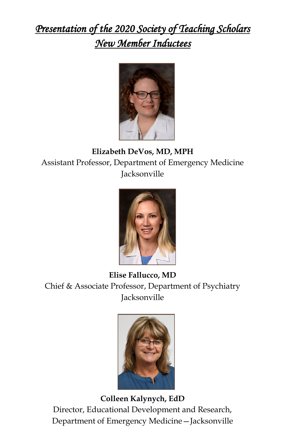# *Presentation of the 2020 Society of Teaching Scholars New Member Inductees*



# **Elizabeth DeVos, MD, MPH** Assistant Professor, Department of Emergency Medicine Jacksonville



**Elise Fallucco, MD** Chief & Associate Professor, Department of Psychiatry Jacksonville



**Colleen Kalynych, EdD** Director, Educational Development and Research, Department of Emergency Medicine—Jacksonville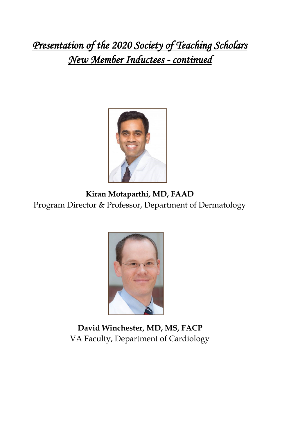*Presentation of the 2020 Society of Teaching Scholars New Member Inductees - continued*



**Kiran Motaparthi, MD, FAAD**  Program Director & Professor, Department of Dermatology



**David Winchester, MD, MS, FACP** VA Faculty, Department of Cardiology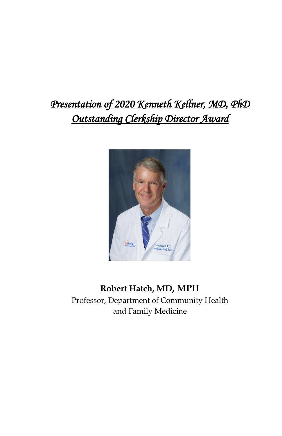# *Presentation of 2020 Kenneth Kellner, MD, PhD Outstanding Clerkship Director Award*



# **Robert Hatch, MD, MPH**

Professor, Department of Community Health and Family Medicine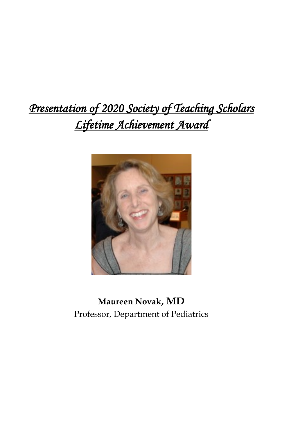# *Presentation of 2020 Society of Teaching Scholars Lifetime Achievement Award*



**Maureen Novak, MD**  Professor, Department of Pediatrics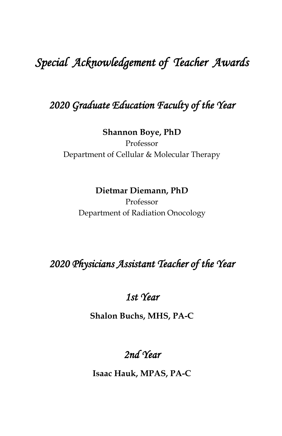# *Special Acknowledgement of Teacher Awards*

# *2020 Graduate Education Faculty of the Year*

#### **Shannon Boye, PhD**

Professor Department of Cellular & Molecular Therapy

## **Dietmar Diemann, PhD**

Professor Department of Radiation Onocology

# *2020 Physicians Assistant Teacher of the Year*

## *1st Year*

**Shalon Buchs, MHS, PA-C**

# *2nd Year*

**Isaac Hauk, MPAS, PA-C**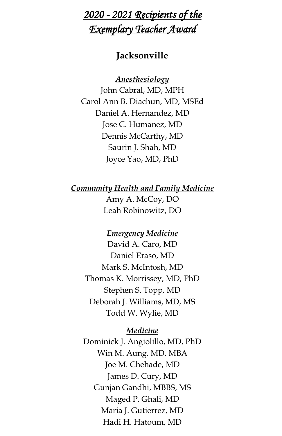# *2020 - 2021 Recipients of the Exemplary Teacher Award*

## **Jacksonville**

*Anesthesiology*

John Cabral, MD, MPH Carol Ann B. Diachun, MD, MSEd Daniel A. Hernandez, MD Jose C. Humanez, MD Dennis McCarthy, MD Saurin J. Shah, MD Joyce Yao, MD, PhD

*Community Health and Family Medicine* Amy A. McCoy, DO

Leah Robinowitz, DO

#### *Emergency Medicine*

David A. Caro, MD Daniel Eraso, MD Mark S. McIntosh, MD Thomas K. Morrissey, MD, PhD Stephen S. Topp, MD Deborah J. Williams, MD, MS Todd W. Wylie, MD

#### *Medicine*

Dominick J. Angiolillo, MD, PhD Win M. Aung, MD, MBA Joe M. Chehade, MD James D. Cury, MD Gunjan Gandhi, MBBS, MS Maged P. Ghali, MD Maria J. Gutierrez, MD Hadi H. Hatoum, MD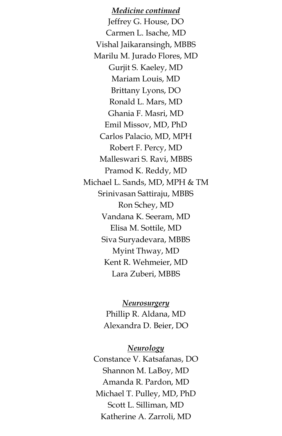*Medicine continued* Jeffrey G. House, DO Carmen L. Isache, MD Vishal Jaikaransingh, MBBS Marilu M. Jurado Flores, MD Gurjit S. Kaeley, MD Mariam Louis, MD Brittany Lyons, DO Ronald L. Mars, MD Ghania F. Masri, MD Emil Missov, MD, PhD Carlos Palacio, MD, MPH Robert F. Percy, MD Malleswari S. Ravi, MBBS Pramod K. Reddy, MD Michael L. Sands, MD, MPH & TM Srinivasan Sattiraju, MBBS Ron Schey, MD Vandana K. Seeram, MD Elisa M. Sottile, MD Siva Suryadevara, MBBS Myint Thway, MD Kent R. Wehmeier, MD Lara Zuberi, MBBS

> *Neurosurgery* Phillip R. Aldana, MD Alexandra D. Beier, DO

*Neurology* Constance V. Katsafanas, DO Shannon M. LaBoy, MD Amanda R. Pardon, MD Michael T. Pulley, MD, PhD Scott L. Silliman, MD Katherine A. Zarroli, MD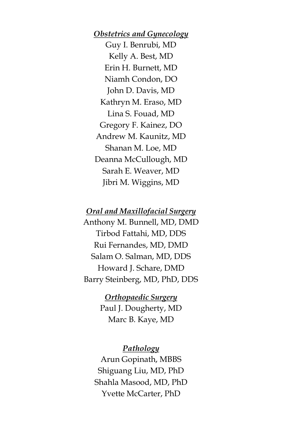*Obstetrics and Gynecology* Guy I. Benrubi, MD Kelly A. Best, MD Erin H. Burnett, MD Niamh Condon, DO John D. Davis, MD Kathryn M. Eraso, MD Lina S. Fouad, MD Gregory F. Kainez, DO Andrew M. Kaunitz, MD Shanan M. Loe, MD Deanna McCullough, MD Sarah E. Weaver, MD Jibri M. Wiggins, MD

#### *Oral and Maxillofacial Surgery*

Anthony M. Bunnell, MD, DMD Tirbod Fattahi, MD, DDS Rui Fernandes, MD, DMD Salam O. Salman, MD, DDS Howard J. Schare, DMD Barry Steinberg, MD, PhD, DDS

> *Orthopaedic Surgery* Paul J. Dougherty, MD Marc B. Kaye, MD

#### *Pathology*

Arun Gopinath, MBBS Shiguang Liu, MD, PhD Shahla Masood, MD, PhD Yvette McCarter, PhD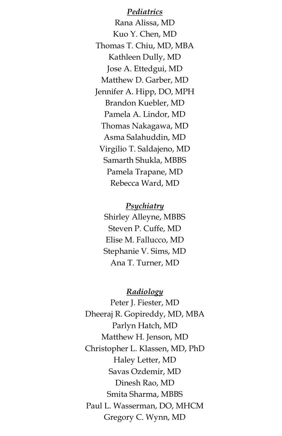*Pediatrics* Rana Alissa, MD Kuo Y. Chen, MD Thomas T. Chiu, MD, MBA Kathleen Dully, MD Jose A. Ettedgui, MD Matthew D. Garber, MD Jennifer A. Hipp, DO, MPH Brandon Kuebler, MD Pamela A. Lindor, MD Thomas Nakagawa, MD Asma Salahuddin, MD Virgilio T. Saldajeno, MD Samarth Shukla, MBBS Pamela Trapane, MD Rebecca Ward, MD

*Psychiatry* Shirley Alleyne, MBBS Steven P. Cuffe, MD Elise M. Fallucco, MD Stephanie V. Sims, MD Ana T. Turner, MD

#### *Radiology*

Peter J. Fiester, MD Dheeraj R. Gopireddy, MD, MBA Parlyn Hatch, MD Matthew H. Jenson, MD Christopher L. Klassen, MD, PhD Haley Letter, MD Savas Ozdemir, MD Dinesh Rao, MD Smita Sharma, MBBS Paul L. Wasserman, DO, MHCM Gregory C. Wynn, MD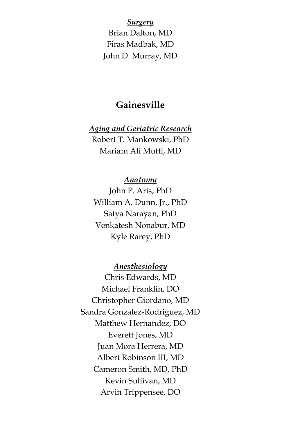*Surgery* Brian Dalton, MD Firas Madbak, MD John D. Murray, MD

## **Gainesville**

## *Aging and Geriatric Research* Robert T. Mankowski, PhD Mariam Ali Mufti, MD

#### *Anatomy*

John P. Aris, PhD William A. Dunn, Jr., PhD Satya Narayan, PhD Venkatesh Nonabur, MD Kyle Rarey, PhD

*Anesthesiology* Chris Edwards, MD Michael Franklin, DO Christopher Giordano, MD Sandra Gonzalez-Rodriguez, MD Matthew Hernandez, DO Everett Jones, MD Juan Mora Herrera, MD

Albert Robinson III, MD Cameron Smith, MD, PhD Kevin Sullivan, MD Arvin Trippensee, DO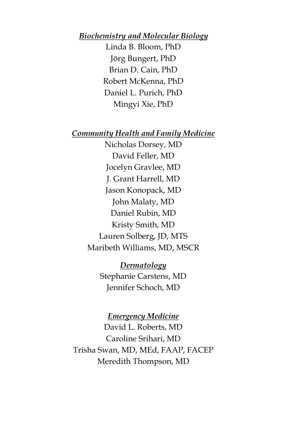#### *Biochemistry and Molecular Biology*

Linda B. Bloom, PhD Jörg Bungert, PhD Brian D. Cain, PhD Robert McKenna, PhD Daniel L. Purich, PhD Mingyi Xie, PhD

#### *Community Health and Family Medicine*

Nicholas Dorsey, MD David Feller, MD Jocelyn Gravlee, MD J. Grant Harrell, MD Jason Konopack, MD John Malaty, MD Daniel Rubin, MD Kristy Smith, MD Lauren Solberg, JD, MTS Maribeth Williams, MD, MSCR

> *Dermatology* Stephanie Carstens, MD Jennifer Schoch, MD

#### *Emergency Medicine*

David L. Roberts, MD Caroline Srihari, MD Trisha Swan, MD, MEd, FAAP, FACEP Meredith Thompson, MD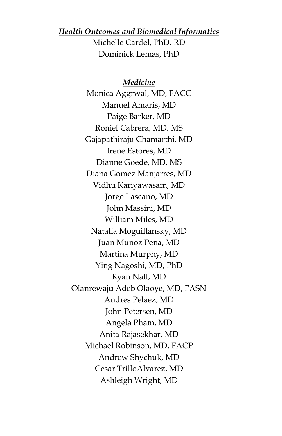#### *Health Outcomes and Biomedical Informatics* Michelle Cardel, PhD, RD Dominick Lemas, PhD

*Medicine* Monica Aggrwal, MD, FACC Manuel Amaris, MD Paige Barker, MD Roniel Cabrera, MD, MS Gajapathiraju Chamarthi, MD Irene Estores, MD Dianne Goede, MD, MS Diana Gomez Manjarres, MD Vidhu Kariyawasam, MD Jorge Lascano, MD John Massini, MD William Miles, MD Natalia Moguillansky, MD Juan Munoz Pena, MD Martina Murphy, MD Ying Nagoshi, MD, PhD Ryan Nall, MD Olanrewaju Adeb Olaoye, MD, FASN Andres Pelaez, MD John Petersen, MD Angela Pham, MD Anita Rajasekhar, MD Michael Robinson, MD, FACP Andrew Shychuk, MD Cesar TrilloAlvarez, MD Ashleigh Wright, MD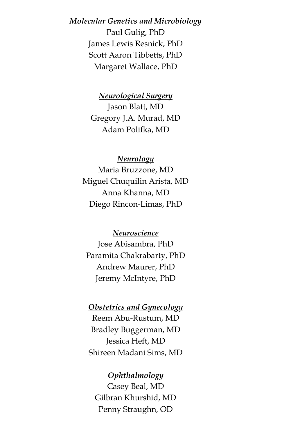#### *Molecular Genetics and Microbiology*

Paul Gulig, PhD James Lewis Resnick, PhD Scott Aaron Tibbetts, PhD Margaret Wallace, PhD

*Neurological Surgery* Jason Blatt, MD Gregory J.A. Murad, MD Adam Polifka, MD

#### *Neurology*

Maria Bruzzone, MD Miguel Chuquilin Arista, MD Anna Khanna, MD Diego Rincon-Limas, PhD

*Neuroscience* Jose Abisambra, PhD Paramita Chakrabarty, PhD Andrew Maurer, PhD Jeremy McIntyre, PhD

#### *Obstetrics and Gynecology*

Reem Abu-Rustum, MD Bradley Buggerman, MD Jessica Heft, MD Shireen Madani Sims, MD

#### *Ophthalmology*

Casey Beal, MD Gilbran Khurshid, MD Penny Straughn, OD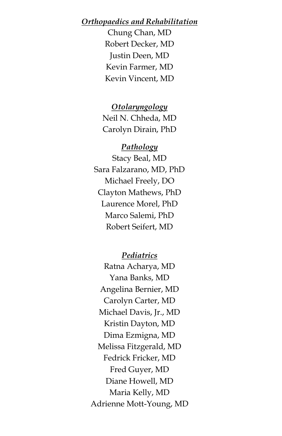#### *Orthopaedics and Rehabilitation*

Chung Chan, MD Robert Decker, MD Justin Deen, MD Kevin Farmer, MD Kevin Vincent, MD

*Otolaryngology* Neil N. Chheda, MD Carolyn Dirain, PhD

#### *Pathology*

Stacy Beal, MD Sara Falzarano, MD, PhD Michael Freely, DO Clayton Mathews, PhD Laurence Morel, PhD Marco Salemi, PhD Robert Seifert, MD

*Pediatrics*

Ratna Acharya, MD Yana Banks, MD Angelina Bernier, MD Carolyn Carter, MD Michael Davis, Jr., MD Kristin Dayton, MD Dima Ezmigna, MD Melissa Fitzgerald, MD Fedrick Fricker, MD Fred Guyer, MD Diane Howell, MD Maria Kelly, MD Adrienne Mott-Young, MD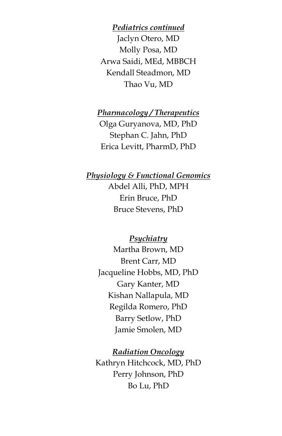*Pediatrics continued* Jaclyn Otero, MD Molly Posa, MD Arwa Saidi, MEd, MBBCH Kendall Steadmon, MD Thao Vu, MD

*Pharmacology / Therapeutics*

Olga Guryanova, MD, PhD Stephan C. Jahn, PhD Erica Levitt, PharmD, PhD

#### *Physiology & Functional Genomics*

Abdel Alli, PhD, MPH Erin Bruce, PhD Bruce Stevens, PhD

#### *Psychiatry*

Martha Brown, MD Brent Carr, MD Jacqueline Hobbs, MD, PhD Gary Kanter, MD Kishan Nallapula, MD Regilda Romero, PhD Barry Setlow, PhD Jamie Smolen, MD

#### *Radiation Oncology*

Kathryn Hitchcock, MD, PhD Perry Johnson, PhD Bo Lu, PhD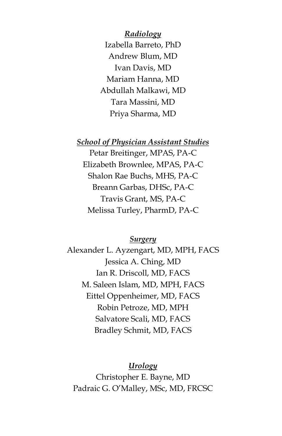*Radiology* Izabella Barreto, PhD Andrew Blum, MD Ivan Davis, MD Mariam Hanna, MD Abdullah Malkawi, MD Tara Massini, MD Priya Sharma, MD

*School of Physician Assistant Studies*

Petar Breitinger, MPAS, PA-C Elizabeth Brownlee, MPAS, PA-C Shalon Rae Buchs, MHS, PA-C Breann Garbas, DHSc, PA-C Travis Grant, MS, PA-C Melissa Turley, PharmD, PA-C

#### *Surgery*

Alexander L. Ayzengart, MD, MPH, FACS Jessica A. Ching, MD Ian R. Driscoll, MD, FACS M. Saleen Islam, MD, MPH, FACS Eittel Oppenheimer, MD, FACS Robin Petroze, MD, MPH Salvatore Scali, MD, FACS Bradley Schmit, MD, FACS

#### *Urology*

Christopher E. Bayne, MD Padraic G. O'Malley, MSc, MD, FRCSC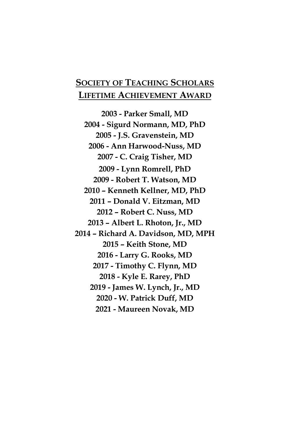## **SOCIETY OF TEACHING SCHOLARS LIFETIME ACHIEVEMENT AWARD**

**2003 - Parker Small, MD 2004 - Sigurd Normann, MD, PhD 2005 - J.S. Gravenstein, MD 2006 - Ann Harwood-Nuss, MD 2007 - C. Craig Tisher, MD 2009 - Lynn Romrell, PhD 2009 - Robert T. Watson, MD 2010 – Kenneth Kellner, MD, PhD 2011 – Donald V. Eitzman, MD 2012 – Robert C. Nuss, MD 2013 – Albert L. Rhoton, Jr., MD 2014 – Richard A. Davidson, MD, MPH 2015 – Keith Stone, MD 2016 - Larry G. Rooks, MD 2017 - Timothy C. Flynn, MD 2018 - Kyle E. Rarey, PhD 2019 - James W. Lynch, Jr., MD 2020 - W. Patrick Duff, MD 2021 - Maureen Novak, MD**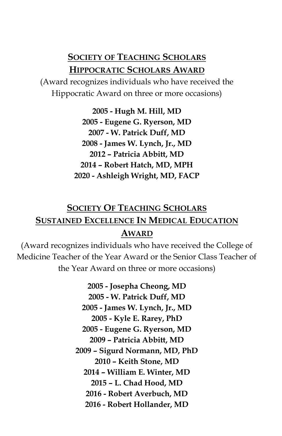## **SOCIETY OF TEACHING SCHOLARS HIPPOCRATIC SCHOLARS AWARD**

(Award recognizes individuals who have received the Hippocratic Award on three or more occasions)

> **2005 - Hugh M. Hill, MD 2005 - Eugene G. Ryerson, MD 2007 - W. Patrick Duff, MD 2008 - James W. Lynch, Jr., MD 2012 – Patricia Abbitt, MD 2014 – Robert Hatch, MD, MPH 2020 - Ashleigh Wright, MD, FACP**

# **SOCIETY OF TEACHING SCHOLARS SUSTAINED EXCELLENCE IN MEDICAL EDUCATION AWARD**

(Award recognizes individuals who have received the College of Medicine Teacher of the Year Award or the Senior Class Teacher of the Year Award on three or more occasions)

> **2005 - Josepha Cheong, MD 2005 - W. Patrick Duff, MD 2005 - James W. Lynch, Jr., MD 2005 - Kyle E. Rarey, PhD 2005 - Eugene G. Ryerson, MD 2009 – Patricia Abbitt, MD 2009 – Sigurd Normann, MD, PhD 2010 – Keith Stone, MD 2014 – William E. Winter, MD 2015 – L. Chad Hood, MD 2016 - Robert Averbuch, MD 2016 - Robert Hollander, MD**